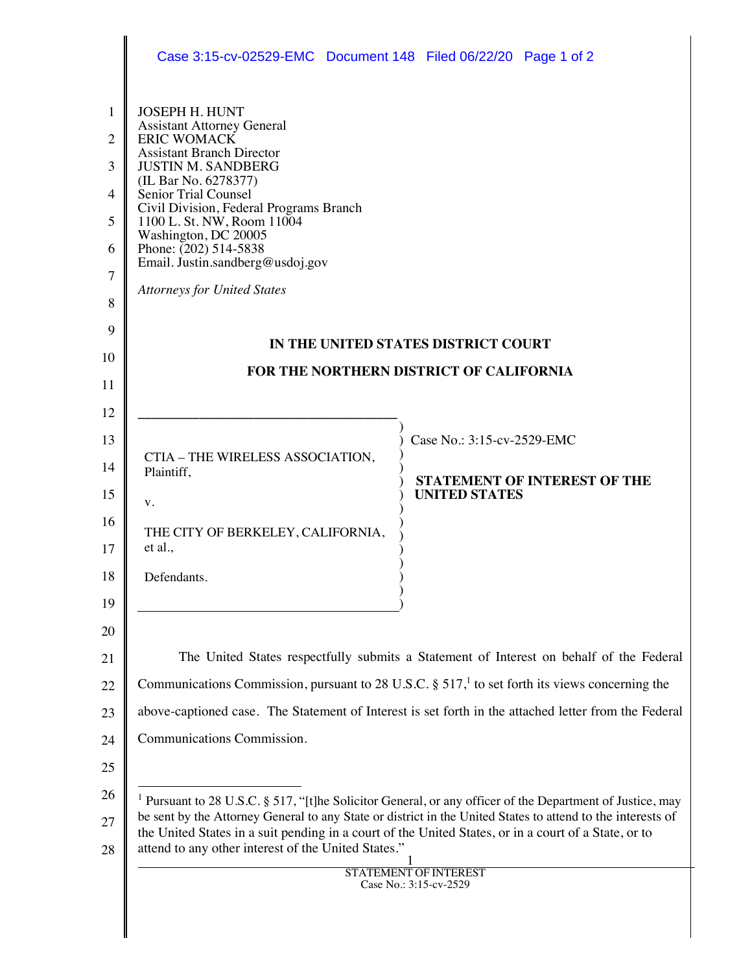|                                                                                  | Case 3:15-cv-02529-EMC  Document 148  Filed 06/22/20  Page 1 of 2                                                                                                                                                                                                                                                                                                                                       |                                                                                                                                                                                                                                                                                                                                                                                                            |  |
|----------------------------------------------------------------------------------|---------------------------------------------------------------------------------------------------------------------------------------------------------------------------------------------------------------------------------------------------------------------------------------------------------------------------------------------------------------------------------------------------------|------------------------------------------------------------------------------------------------------------------------------------------------------------------------------------------------------------------------------------------------------------------------------------------------------------------------------------------------------------------------------------------------------------|--|
| 1<br>2<br>3<br>4<br>5<br>6<br>7<br>8<br>9                                        | <b>JOSEPH H. HUNT</b><br><b>Assistant Attorney General</b><br><b>ERIC WOMACK</b><br><b>Assistant Branch Director</b><br><b>JUSTIN M. SANDBERG</b><br>(IL Bar No. 6278377)<br>Senior Trial Counsel<br>Civil Division, Federal Programs Branch<br>1100 L. St. NW, Room 11004<br>Washington, DC 20005<br>Phone: $(202)$ 514-5838<br>Email. Justin.sandberg@usdoj.gov<br><b>Attorneys for United States</b> | IN THE UNITED STATES DISTRICT COURT                                                                                                                                                                                                                                                                                                                                                                        |  |
| 10<br>11                                                                         | FOR THE NORTHERN DISTRICT OF CALIFORNIA                                                                                                                                                                                                                                                                                                                                                                 |                                                                                                                                                                                                                                                                                                                                                                                                            |  |
| 12<br>13<br>14<br>15<br>16<br>17<br>18<br>19<br>20<br>21<br>22<br>23<br>24<br>25 | CTIA - THE WIRELESS ASSOCIATION,<br>Plaintiff,<br>V.<br>THE CITY OF BERKELEY, CALIFORNIA,<br>et al.,<br>Defendants.<br>Communications Commission.                                                                                                                                                                                                                                                       | Case No.: 3:15-cv-2529-EMC<br><b>STATEMENT OF INTEREST OF THE</b><br><b>UNITED STATES</b><br>The United States respectfully submits a Statement of Interest on behalf of the Federal<br>Communications Commission, pursuant to 28 U.S.C. § 517, <sup>1</sup> to set forth its views concerning the<br>above-captioned case. The Statement of Interest is set forth in the attached letter from the Federal |  |
| 26<br>27<br>28                                                                   | <sup>1</sup> Pursuant to 28 U.S.C. § 517, "[t]he Solicitor General, or any officer of the Department of Justice, may<br>be sent by the Attorney General to any State or district in the United States to attend to the interests of<br>the United States in a suit pending in a court of the United States, or in a court of a State, or to<br>attend to any other interest of the United States."      |                                                                                                                                                                                                                                                                                                                                                                                                            |  |
|                                                                                  |                                                                                                                                                                                                                                                                                                                                                                                                         | <b>STATEMENT OF INTEREST</b><br>Case No.: 3:15-cv-2529                                                                                                                                                                                                                                                                                                                                                     |  |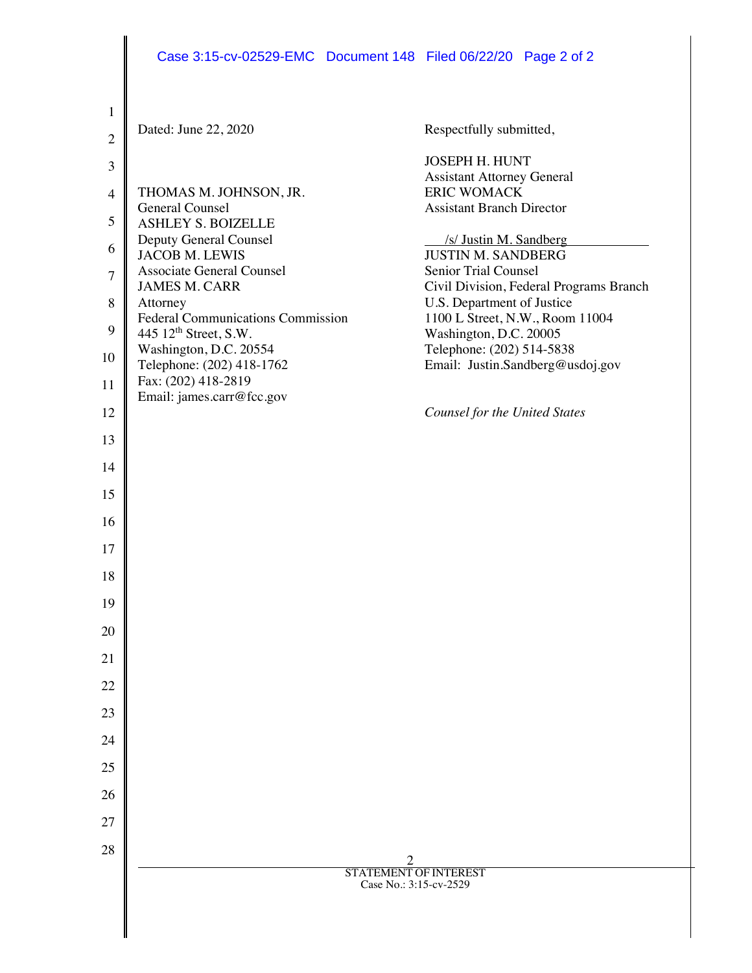| $\mathbf{1}$   |                                                                               |                                                                 |
|----------------|-------------------------------------------------------------------------------|-----------------------------------------------------------------|
| $\overline{2}$ | Dated: June 22, 2020                                                          | Respectfully submitted,                                         |
| $\mathfrak{Z}$ |                                                                               | <b>JOSEPH H. HUNT</b>                                           |
| $\overline{4}$ | THOMAS M. JOHNSON, JR.                                                        | <b>Assistant Attorney General</b><br><b>ERIC WOMACK</b>         |
|                | General Counsel                                                               | <b>Assistant Branch Director</b>                                |
| 5              | <b>ASHLEY S. BOIZELLE</b><br>Deputy General Counsel                           | /s/ Justin M. Sandberg                                          |
| 6              | <b>JACOB M. LEWIS</b>                                                         | <b>JUSTIN M. SANDBERG</b>                                       |
| $\tau$         | <b>Associate General Counsel</b><br><b>JAMES M. CARR</b>                      | Senior Trial Counsel<br>Civil Division, Federal Programs Branch |
| 8              | Attorney                                                                      | U.S. Department of Justice                                      |
| 9              | <b>Federal Communications Commission</b><br>445 12 <sup>th</sup> Street, S.W. | 1100 L Street, N.W., Room 11004<br>Washington, D.C. 20005       |
| 10             | Washington, D.C. 20554                                                        | Telephone: (202) 514-5838                                       |
| 11             | Telephone: (202) 418-1762<br>Fax: (202) 418-2819                              | Email: Justin.Sandberg@usdoj.gov                                |
| 12             | Email: james.carr@fcc.gov                                                     | <b>Counsel for the United States</b>                            |
|                |                                                                               |                                                                 |
| 13             |                                                                               |                                                                 |
| 14             |                                                                               |                                                                 |
| 15             |                                                                               |                                                                 |
| 16             |                                                                               |                                                                 |
| 17             |                                                                               |                                                                 |
| 18             |                                                                               |                                                                 |
| 19             |                                                                               |                                                                 |
| 20             |                                                                               |                                                                 |
| 21             |                                                                               |                                                                 |
| 22             |                                                                               |                                                                 |
| 23             |                                                                               |                                                                 |
| 24             |                                                                               |                                                                 |
| 25             |                                                                               |                                                                 |
| 26             |                                                                               |                                                                 |
| 27             |                                                                               |                                                                 |
| 28             |                                                                               |                                                                 |
|                | <b>STATEMENT OF INTEREST</b>                                                  |                                                                 |
|                |                                                                               | Case No.: 3:15-cv-2529                                          |
|                |                                                                               |                                                                 |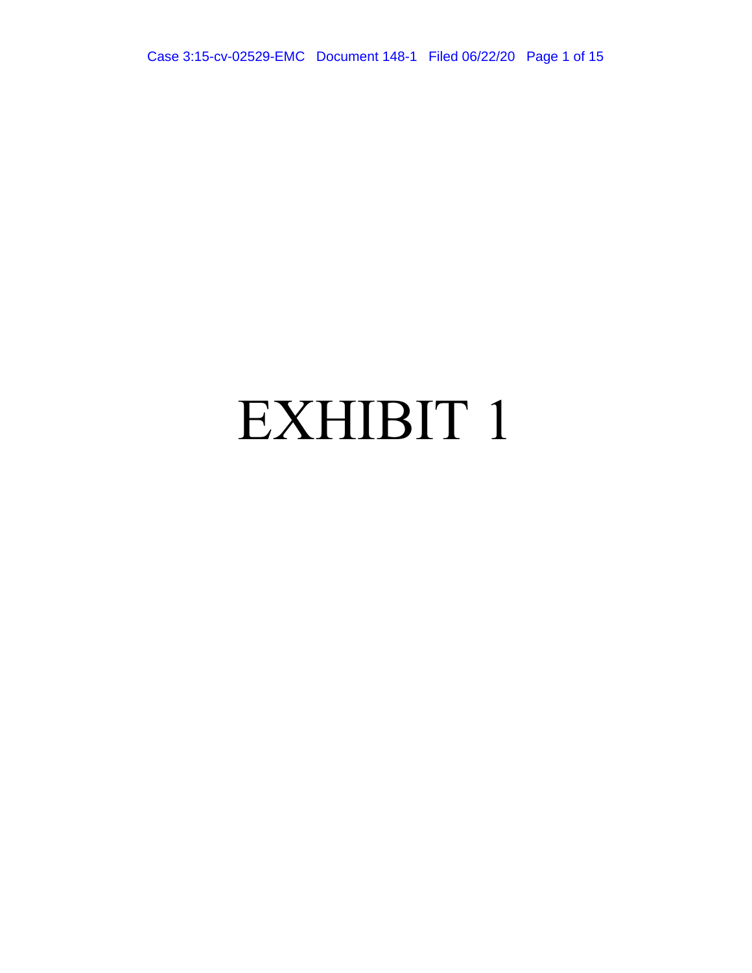Case 3:15-cv-02529-EMC Document 148-1 Filed 06/22/20 Page 1 of 15

# EXHIBIT 1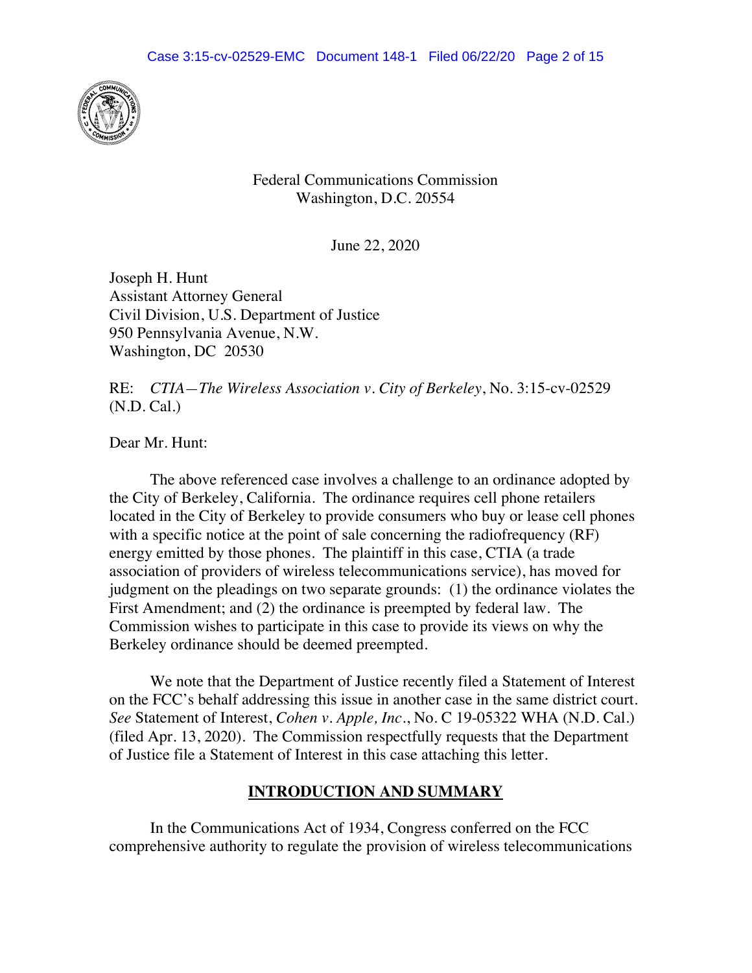

Federal Communications Commission Washington, D.C. 20554

June 22, 2020

Joseph H. Hunt Assistant Attorney General Civil Division, U.S. Department of Justice 950 Pennsylvania Avenue, N.W. Washington, DC 20530

RE: *CTIA—The Wireless Association v. City of Berkeley*, No. 3:15-cv-02529 (N.D. Cal.)

Dear Mr. Hunt:

 The above referenced case involves a challenge to an ordinance adopted by the City of Berkeley, California. The ordinance requires cell phone retailers located in the City of Berkeley to provide consumers who buy or lease cell phones with a specific notice at the point of sale concerning the radiofrequency (RF) energy emitted by those phones. The plaintiff in this case, CTIA (a trade association of providers of wireless telecommunications service), has moved for judgment on the pleadings on two separate grounds: (1) the ordinance violates the First Amendment; and (2) the ordinance is preempted by federal law. The Commission wishes to participate in this case to provide its views on why the Berkeley ordinance should be deemed preempted.

 We note that the Department of Justice recently filed a Statement of Interest on the FCC's behalf addressing this issue in another case in the same district court. *See* Statement of Interest, *Cohen v. Apple, Inc.*, No. C 19-05322 WHA (N.D. Cal.) (filed Apr. 13, 2020). The Commission respectfully requests that the Department of Justice file a Statement of Interest in this case attaching this letter.

#### **INTRODUCTION AND SUMMARY**

 In the Communications Act of 1934, Congress conferred on the FCC comprehensive authority to regulate the provision of wireless telecommunications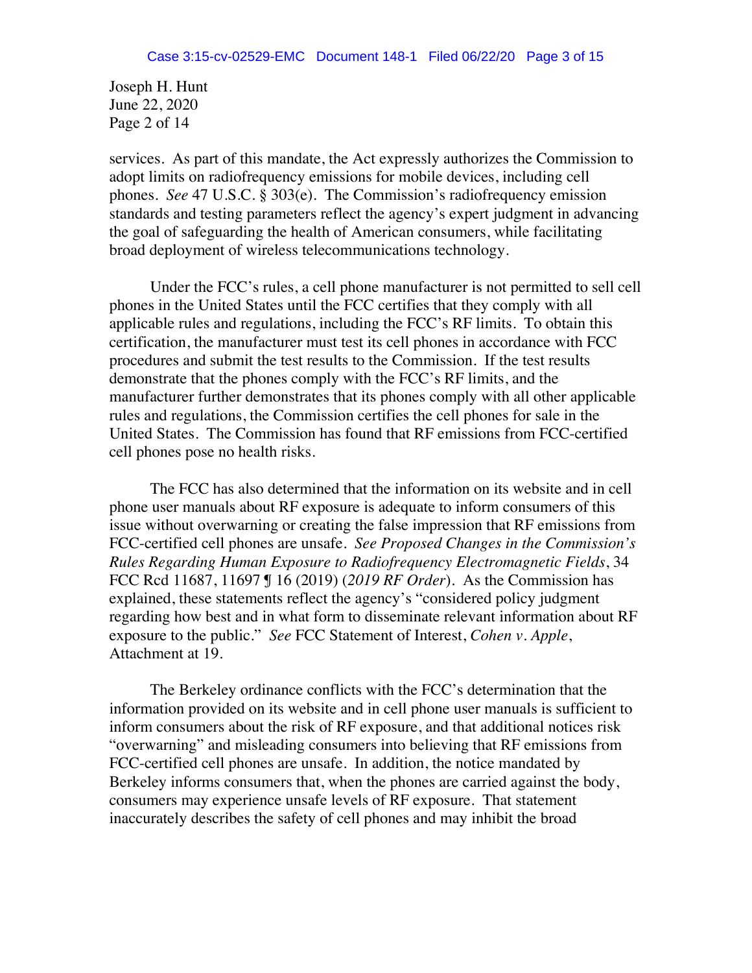Joseph H. Hunt June 22, 2020 Page 2 of 14

services. As part of this mandate, the Act expressly authorizes the Commission to adopt limits on radiofrequency emissions for mobile devices, including cell phones. *See* 47 U.S.C. § 303(e). The Commission's radiofrequency emission standards and testing parameters reflect the agency's expert judgment in advancing the goal of safeguarding the health of American consumers, while facilitating broad deployment of wireless telecommunications technology.

Under the FCC's rules, a cell phone manufacturer is not permitted to sell cell phones in the United States until the FCC certifies that they comply with all applicable rules and regulations, including the FCC's RF limits. To obtain this certification, the manufacturer must test its cell phones in accordance with FCC procedures and submit the test results to the Commission. If the test results demonstrate that the phones comply with the FCC's RF limits, and the manufacturer further demonstrates that its phones comply with all other applicable rules and regulations, the Commission certifies the cell phones for sale in the United States. The Commission has found that RF emissions from FCC-certified cell phones pose no health risks.

The FCC has also determined that the information on its website and in cell phone user manuals about RF exposure is adequate to inform consumers of this issue without overwarning or creating the false impression that RF emissions from FCC-certified cell phones are unsafe. *See Proposed Changes in the Commission's Rules Regarding Human Exposure to Radiofrequency Electromagnetic Fields*, 34 FCC Rcd 11687, 11697 ¶ 16 (2019) (*2019 RF Order*). As the Commission has explained, these statements reflect the agency's "considered policy judgment regarding how best and in what form to disseminate relevant information about RF exposure to the public." *See* FCC Statement of Interest, *Cohen v. Apple*, Attachment at 19.

The Berkeley ordinance conflicts with the FCC's determination that the information provided on its website and in cell phone user manuals is sufficient to inform consumers about the risk of RF exposure, and that additional notices risk "overwarning" and misleading consumers into believing that RF emissions from FCC-certified cell phones are unsafe. In addition, the notice mandated by Berkeley informs consumers that, when the phones are carried against the body, consumers may experience unsafe levels of RF exposure. That statement inaccurately describes the safety of cell phones and may inhibit the broad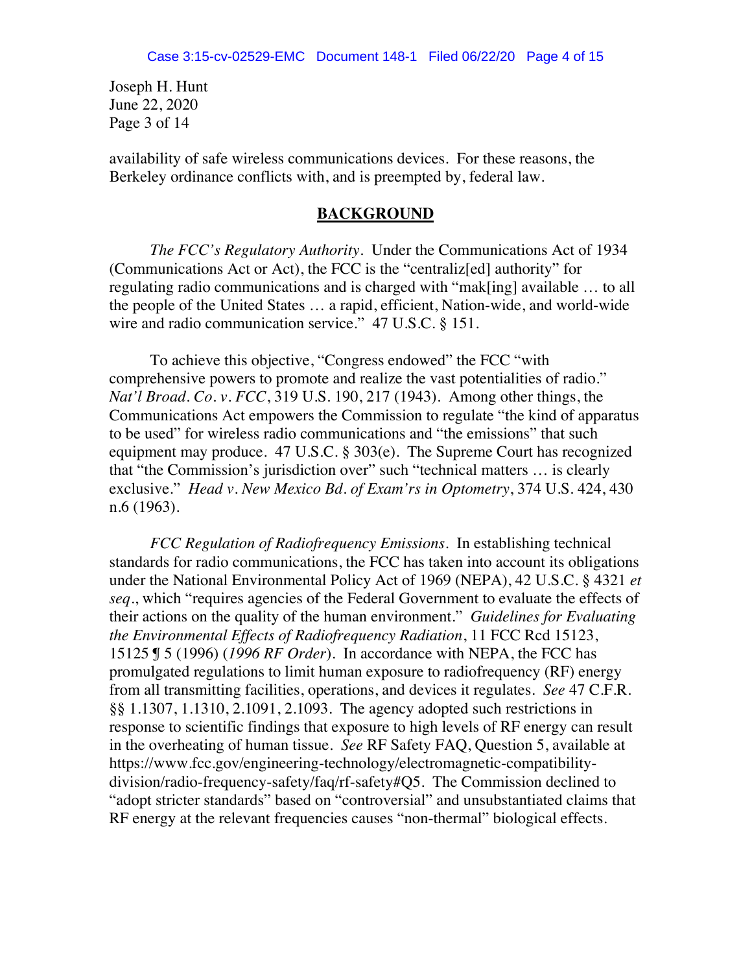Joseph H. Hunt June 22, 2020 Page 3 of 14

availability of safe wireless communications devices. For these reasons, the Berkeley ordinance conflicts with, and is preempted by, federal law.

#### **BACKGROUND**

*The FCC's Regulatory Authority*.Under the Communications Act of 1934 (Communications Act or Act), the FCC is the "centraliz[ed] authority" for regulating radio communications and is charged with "mak[ing] available … to all the people of the United States … a rapid, efficient, Nation-wide, and world-wide wire and radio communication service." 47 U.S.C. § 151.

To achieve this objective, "Congress endowed" the FCC "with comprehensive powers to promote and realize the vast potentialities of radio." *Nat'l Broad. Co. v. FCC*, 319 U.S. 190, 217 (1943). Among other things, the Communications Act empowers the Commission to regulate "the kind of apparatus to be used" for wireless radio communications and "the emissions" that such equipment may produce. 47 U.S.C. § 303(e). The Supreme Court has recognized that "the Commission's jurisdiction over" such "technical matters … is clearly exclusive." *Head v. New Mexico Bd. of Exam'rs in Optometry*, 374 U.S. 424, 430 n.6 (1963).

*FCC Regulation of Radiofrequency Emissions.* In establishing technical standards for radio communications, the FCC has taken into account its obligations under the National Environmental Policy Act of 1969 (NEPA), 42 U.S.C. § 4321 *et seq*., which "requires agencies of the Federal Government to evaluate the effects of their actions on the quality of the human environment." *Guidelines for Evaluating the Environmental Effects of Radiofrequency Radiation*, 11 FCC Rcd 15123, 15125 ¶ 5 (1996) (*1996 RF Order*). In accordance with NEPA, the FCC has promulgated regulations to limit human exposure to radiofrequency (RF) energy from all transmitting facilities, operations, and devices it regulates. *See* 47 C.F.R. §§ 1.1307, 1.1310, 2.1091, 2.1093. The agency adopted such restrictions in response to scientific findings that exposure to high levels of RF energy can result in the overheating of human tissue. *See* RF Safety FAQ, Question 5, available at https://www.fcc.gov/engineering-technology/electromagnetic-compatibilitydivision/radio-frequency-safety/faq/rf-safety#Q5. The Commission declined to "adopt stricter standards" based on "controversial" and unsubstantiated claims that RF energy at the relevant frequencies causes "non-thermal" biological effects.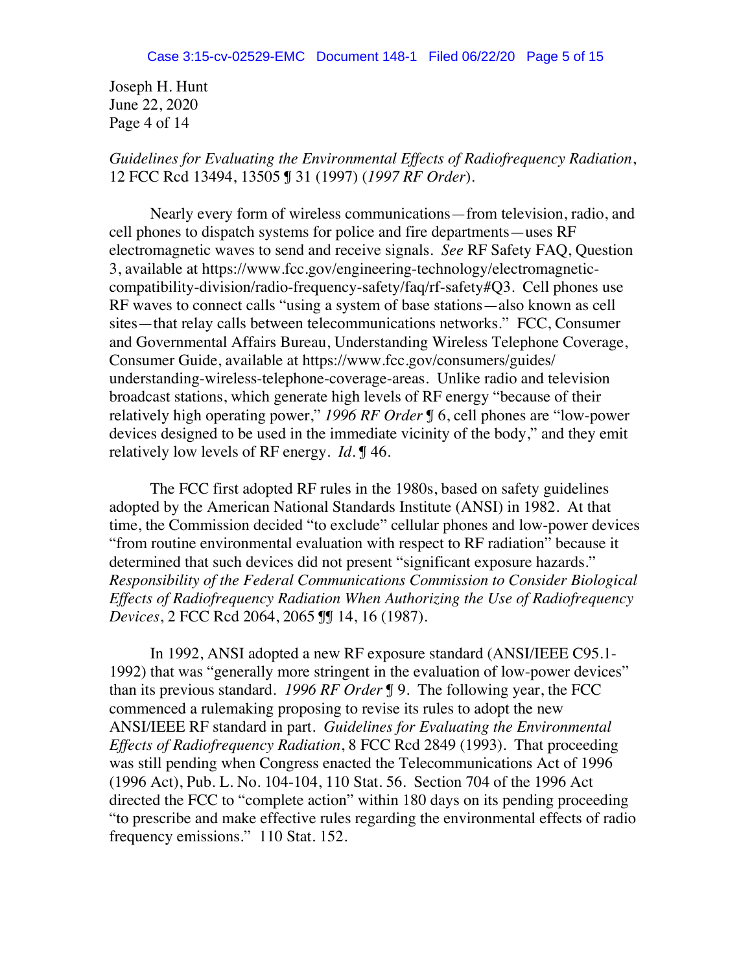Joseph H. Hunt June 22, 2020 Page 4 of 14

## *Guidelines for Evaluating the Environmental Effects of Radiofrequency Radiation*, 12 FCC Rcd 13494, 13505 ¶ 31 (1997) (*1997 RF Order*).

Nearly every form of wireless communications—from television, radio, and cell phones to dispatch systems for police and fire departments—uses RF electromagnetic waves to send and receive signals. *See* RF Safety FAQ, Question 3, available at https://www.fcc.gov/engineering-technology/electromagneticcompatibility-division/radio-frequency-safety/faq/rf-safety#Q3. Cell phones use RF waves to connect calls "using a system of base stations—also known as cell sites—that relay calls between telecommunications networks." FCC, Consumer and Governmental Affairs Bureau, Understanding Wireless Telephone Coverage, Consumer Guide, available at https://www.fcc.gov/consumers/guides/ understanding-wireless-telephone-coverage-areas. Unlike radio and television broadcast stations, which generate high levels of RF energy "because of their relatively high operating power," *1996 RF Order* ¶ 6, cell phones are "low-power devices designed to be used in the immediate vicinity of the body," and they emit relatively low levels of RF energy. *Id.* ¶ 46.

The FCC first adopted RF rules in the 1980s, based on safety guidelines adopted by the American National Standards Institute (ANSI) in 1982. At that time, the Commission decided "to exclude" cellular phones and low-power devices "from routine environmental evaluation with respect to RF radiation" because it determined that such devices did not present "significant exposure hazards." *Responsibility of the Federal Communications Commission to Consider Biological Effects of Radiofrequency Radiation When Authorizing the Use of Radiofrequency Devices*, 2 FCC Rcd 2064, 2065 ¶¶ 14, 16 (1987).

In 1992, ANSI adopted a new RF exposure standard (ANSI/IEEE C95.1- 1992) that was "generally more stringent in the evaluation of low-power devices" than its previous standard. *1996 RF Order* ¶ 9. The following year, the FCC commenced a rulemaking proposing to revise its rules to adopt the new ANSI/IEEE RF standard in part. *Guidelines for Evaluating the Environmental Effects of Radiofrequency Radiation*, 8 FCC Rcd 2849 (1993). That proceeding was still pending when Congress enacted the Telecommunications Act of 1996 (1996 Act), Pub. L. No. 104-104, 110 Stat. 56. Section 704 of the 1996 Act directed the FCC to "complete action" within 180 days on its pending proceeding "to prescribe and make effective rules regarding the environmental effects of radio frequency emissions." 110 Stat. 152.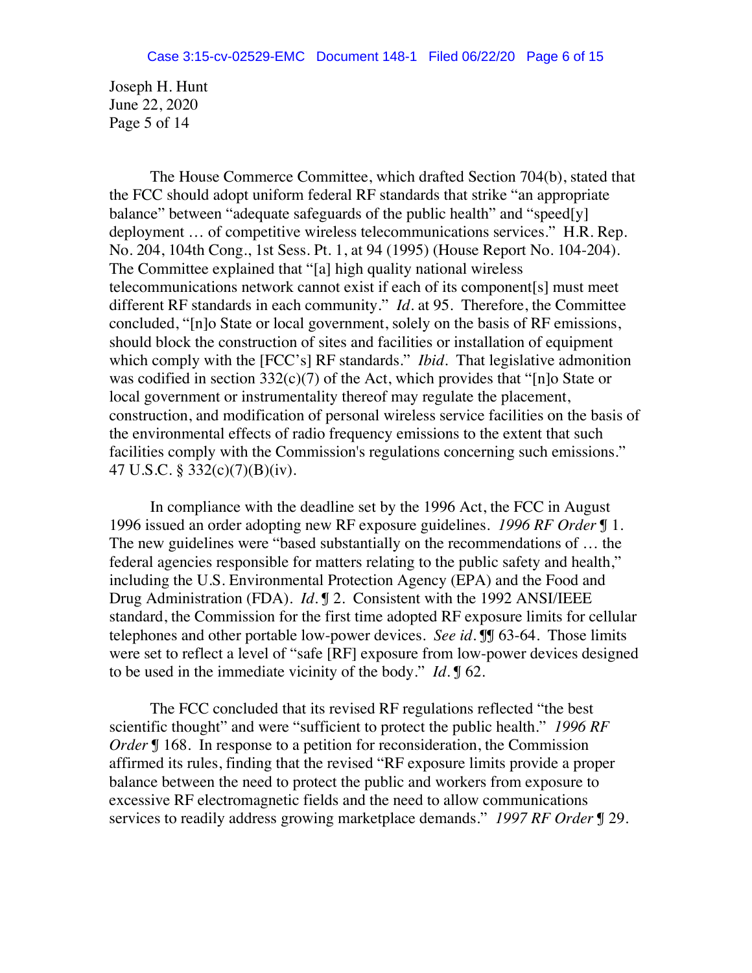Joseph H. Hunt June 22, 2020 Page 5 of 14

The House Commerce Committee, which drafted Section 704(b), stated that the FCC should adopt uniform federal RF standards that strike "an appropriate balance" between "adequate safeguards of the public health" and "speed[y] deployment … of competitive wireless telecommunications services." H.R. Rep. No. 204, 104th Cong., 1st Sess. Pt. 1, at 94 (1995) (House Report No. 104-204). The Committee explained that "[a] high quality national wireless telecommunications network cannot exist if each of its component[s] must meet different RF standards in each community." *Id*. at 95. Therefore, the Committee concluded, "[n]o State or local government, solely on the basis of RF emissions, should block the construction of sites and facilities or installation of equipment which comply with the [FCC's] RF standards." *Ibid*. That legislative admonition was codified in section 332(c)(7) of the Act, which provides that "[n]o State or local government or instrumentality thereof may regulate the placement, construction, and modification of personal wireless service facilities on the basis of the environmental effects of radio frequency emissions to the extent that such facilities comply with the Commission's regulations concerning such emissions." 47 U.S.C. § 332(c)(7)(B)(iv).

In compliance with the deadline set by the 1996 Act, the FCC in August 1996 issued an order adopting new RF exposure guidelines. *1996 RF Order* ¶ 1. The new guidelines were "based substantially on the recommendations of … the federal agencies responsible for matters relating to the public safety and health," including the U.S. Environmental Protection Agency (EPA) and the Food and Drug Administration (FDA). *Id.* ¶ 2. Consistent with the 1992 ANSI/IEEE standard, the Commission for the first time adopted RF exposure limits for cellular telephones and other portable low-power devices. *See id.* ¶¶ 63-64. Those limits were set to reflect a level of "safe [RF] exposure from low-power devices designed to be used in the immediate vicinity of the body." *Id*. ¶ 62.

The FCC concluded that its revised RF regulations reflected "the best scientific thought" and were "sufficient to protect the public health." *1996 RF Order* **[**] 168. In response to a petition for reconsideration, the Commission affirmed its rules, finding that the revised "RF exposure limits provide a proper balance between the need to protect the public and workers from exposure to excessive RF electromagnetic fields and the need to allow communications services to readily address growing marketplace demands." *1997 RF Order* ¶ 29.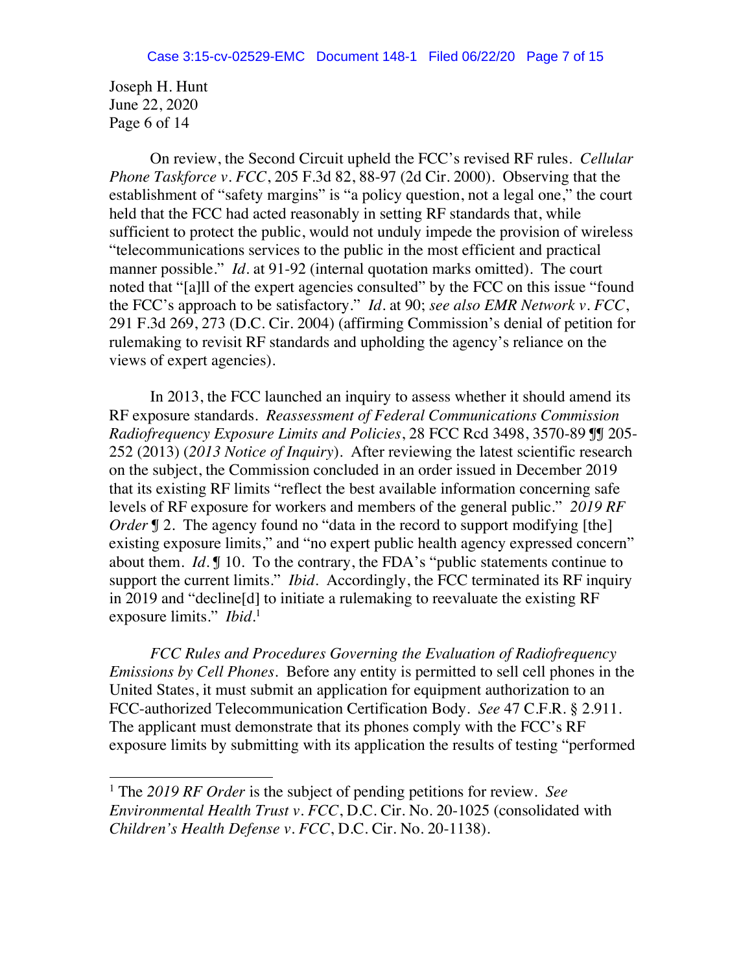Joseph H. Hunt June 22, 2020 Page 6 of 14

j

On review, the Second Circuit upheld the FCC's revised RF rules. *Cellular Phone Taskforce v. FCC*, 205 F.3d 82, 88-97 (2d Cir. 2000). Observing that the establishment of "safety margins" is "a policy question, not a legal one," the court held that the FCC had acted reasonably in setting RF standards that, while sufficient to protect the public, would not unduly impede the provision of wireless "telecommunications services to the public in the most efficient and practical manner possible." *Id.* at 91-92 (internal quotation marks omitted). The court noted that "[a]ll of the expert agencies consulted" by the FCC on this issue "found the FCC's approach to be satisfactory." *Id*. at 90; *see also EMR Network v. FCC*, 291 F.3d 269, 273 (D.C. Cir. 2004) (affirming Commission's denial of petition for rulemaking to revisit RF standards and upholding the agency's reliance on the views of expert agencies).

In 2013, the FCC launched an inquiry to assess whether it should amend its RF exposure standards. *Reassessment of Federal Communications Commission Radiofrequency Exposure Limits and Policies*, 28 FCC Rcd 3498, 3570-89 ¶¶ 205- 252 (2013) (*2013 Notice of Inquiry*). After reviewing the latest scientific research on the subject, the Commission concluded in an order issued in December 2019 that its existing RF limits "reflect the best available information concerning safe levels of RF exposure for workers and members of the general public." *2019 RF Order* **J** 2. The agency found no "data in the record to support modifying [the] existing exposure limits," and "no expert public health agency expressed concern" about them. *Id*. ¶ 10. To the contrary, the FDA's "public statements continue to support the current limits." *Ibid.* Accordingly, the FCC terminated its RF inquiry in 2019 and "decline[d] to initiate a rulemaking to reevaluate the existing RF exposure limits." *Ibid*. 1

*FCC Rules and Procedures Governing the Evaluation of Radiofrequency Emissions by Cell Phones*. Before any entity is permitted to sell cell phones in the United States, it must submit an application for equipment authorization to an FCC-authorized Telecommunication Certification Body. *See* 47 C.F.R. § 2.911. The applicant must demonstrate that its phones comply with the FCC's RF exposure limits by submitting with its application the results of testing "performed

<sup>1</sup> The *2019 RF Order* is the subject of pending petitions for review. *See Environmental Health Trust v. FCC*, D.C. Cir. No. 20-1025 (consolidated with *Children's Health Defense v. FCC*, D.C. Cir. No. 20-1138).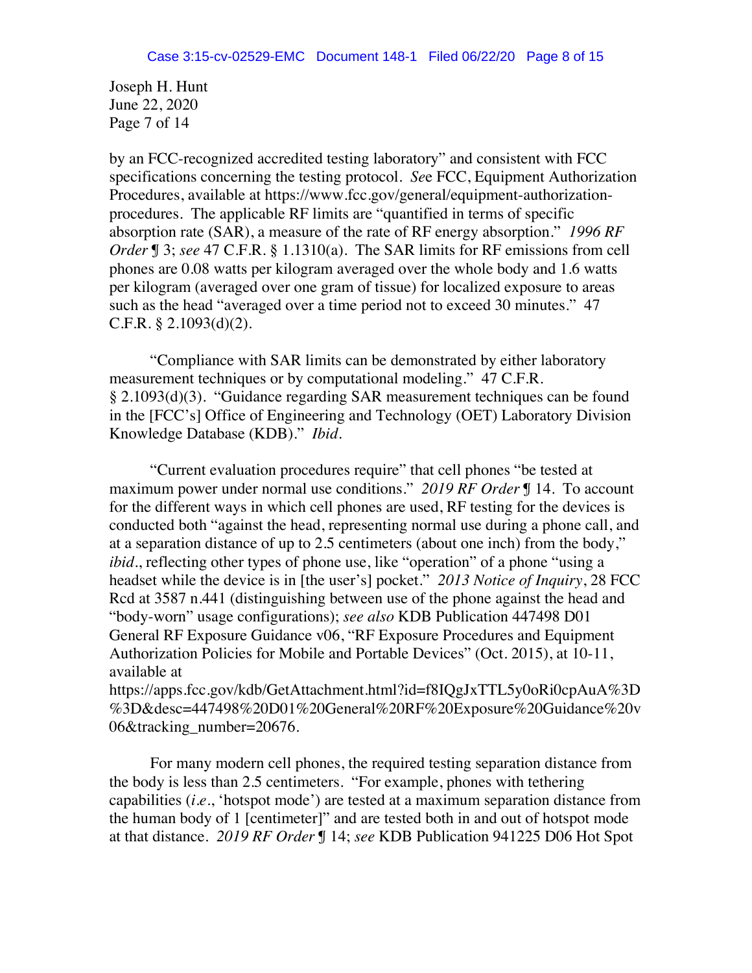Joseph H. Hunt June 22, 2020 Page 7 of 14

by an FCC-recognized accredited testing laboratory" and consistent with FCC specifications concerning the testing protocol. *Se*e FCC, Equipment Authorization Procedures, available at https://www.fcc.gov/general/equipment-authorizationprocedures. The applicable RF limits are "quantified in terms of specific absorption rate (SAR), a measure of the rate of RF energy absorption." *1996 RF Order* ¶ 3; *see* 47 C.F.R. § 1.1310(a). The SAR limits for RF emissions from cell phones are 0.08 watts per kilogram averaged over the whole body and 1.6 watts per kilogram (averaged over one gram of tissue) for localized exposure to areas such as the head "averaged over a time period not to exceed 30 minutes." 47 C.F.R. § 2.1093(d)(2).

"Compliance with SAR limits can be demonstrated by either laboratory measurement techniques or by computational modeling." 47 C.F.R. § 2.1093(d)(3). "Guidance regarding SAR measurement techniques can be found in the [FCC's] Office of Engineering and Technology (OET) Laboratory Division Knowledge Database (KDB)." *Ibid*.

"Current evaluation procedures require" that cell phones "be tested at maximum power under normal use conditions." *2019 RF Order* ¶ 14. To account for the different ways in which cell phones are used, RF testing for the devices is conducted both "against the head, representing normal use during a phone call, and at a separation distance of up to 2.5 centimeters (about one inch) from the body," *ibid.*, reflecting other types of phone use, like "operation" of a phone "using a headset while the device is in [the user's] pocket." *2013 Notice of Inquiry*, 28 FCC Rcd at 3587 n.441 (distinguishing between use of the phone against the head and "body-worn" usage configurations); *see also* KDB Publication 447498 D01 General RF Exposure Guidance v06, "RF Exposure Procedures and Equipment Authorization Policies for Mobile and Portable Devices" (Oct. 2015), at 10-11, available at

https://apps.fcc.gov/kdb/GetAttachment.html?id=f8IQgJxTTL5y0oRi0cpAuA%3D %3D&desc=447498%20D01%20General%20RF%20Exposure%20Guidance%20v 06&tracking\_number=20676.

For many modern cell phones, the required testing separation distance from the body is less than 2.5 centimeters. "For example, phones with tethering capabilities (*i.e.*, 'hotspot mode') are tested at a maximum separation distance from the human body of 1 [centimeter]" and are tested both in and out of hotspot mode at that distance. *2019 RF Order* ¶ 14; *see* KDB Publication 941225 D06 Hot Spot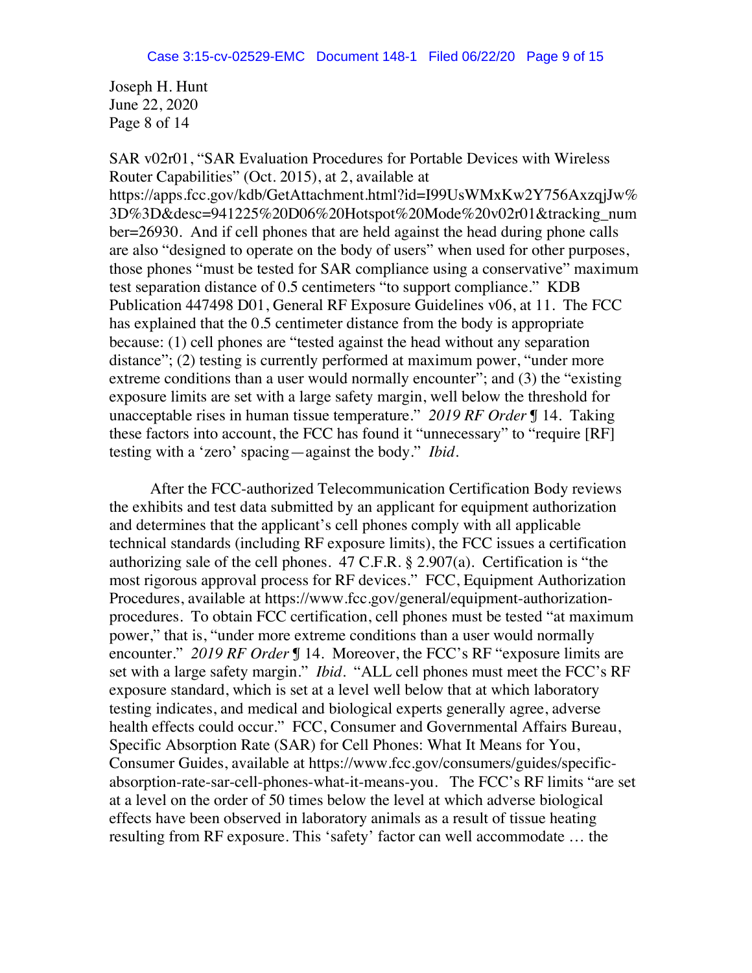Joseph H. Hunt June 22, 2020 Page 8 of 14

SAR v02r01, "SAR Evaluation Procedures for Portable Devices with Wireless Router Capabilities" (Oct. 2015), at 2, available at https://apps.fcc.gov/kdb/GetAttachment.html?id=I99UsWMxKw2Y756AxzqjJw% 3D%3D&desc=941225%20D06%20Hotspot%20Mode%20v02r01&tracking\_num ber=26930. And if cell phones that are held against the head during phone calls are also "designed to operate on the body of users" when used for other purposes, those phones "must be tested for SAR compliance using a conservative" maximum test separation distance of 0.5 centimeters "to support compliance." KDB Publication 447498 D01, General RF Exposure Guidelines v06, at 11. The FCC has explained that the 0.5 centimeter distance from the body is appropriate because: (1) cell phones are "tested against the head without any separation distance"; (2) testing is currently performed at maximum power, "under more extreme conditions than a user would normally encounter"; and (3) the "existing exposure limits are set with a large safety margin, well below the threshold for unacceptable rises in human tissue temperature." *2019 RF Order* ¶ 14. Taking these factors into account, the FCC has found it "unnecessary" to "require [RF] testing with a 'zero' spacing—against the body." *Ibid.*

After the FCC-authorized Telecommunication Certification Body reviews the exhibits and test data submitted by an applicant for equipment authorization and determines that the applicant's cell phones comply with all applicable technical standards (including RF exposure limits), the FCC issues a certification authorizing sale of the cell phones. 47 C.F.R. § 2.907(a). Certification is "the most rigorous approval process for RF devices." FCC, Equipment Authorization Procedures, available at https://www.fcc.gov/general/equipment-authorizationprocedures. To obtain FCC certification, cell phones must be tested "at maximum power," that is, "under more extreme conditions than a user would normally encounter." *2019 RF Order* ¶ 14. Moreover, the FCC's RF "exposure limits are set with a large safety margin." *Ibid*. "ALL cell phones must meet the FCC's RF exposure standard, which is set at a level well below that at which laboratory testing indicates, and medical and biological experts generally agree, adverse health effects could occur." FCC, Consumer and Governmental Affairs Bureau, Specific Absorption Rate (SAR) for Cell Phones: What It Means for You, Consumer Guides, available at https://www.fcc.gov/consumers/guides/specificabsorption-rate-sar-cell-phones-what-it-means-you. The FCC's RF limits "are set at a level on the order of 50 times below the level at which adverse biological effects have been observed in laboratory animals as a result of tissue heating resulting from RF exposure. This 'safety' factor can well accommodate … the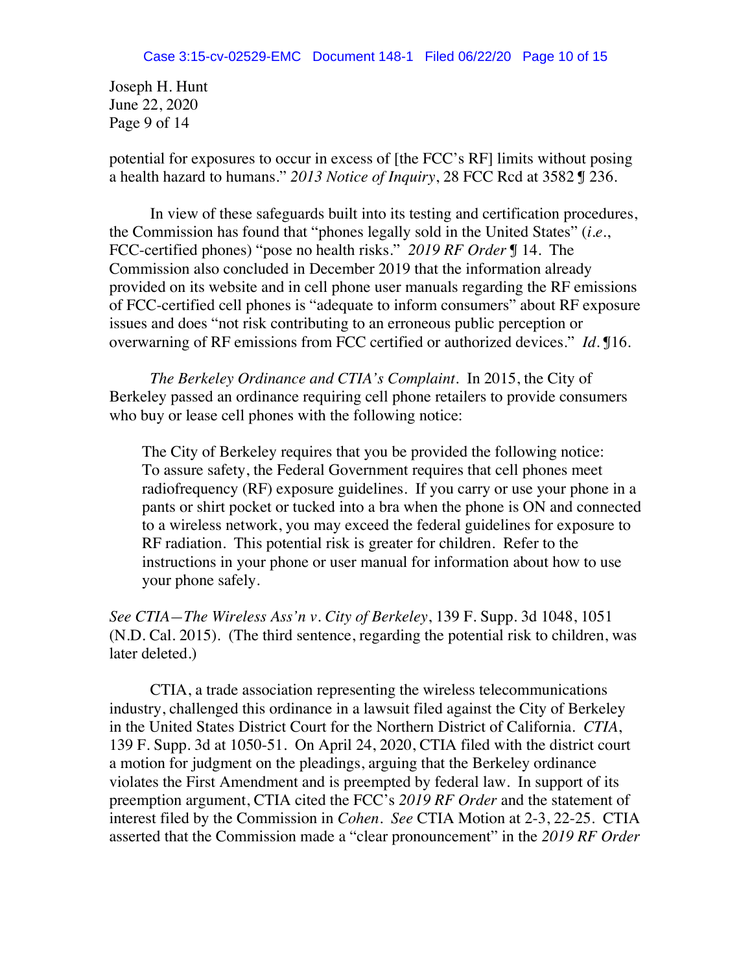Joseph H. Hunt June 22, 2020 Page 9 of 14

potential for exposures to occur in excess of [the FCC's RF] limits without posing a health hazard to humans." *2013 Notice of Inquiry*, 28 FCC Rcd at 3582 ¶ 236.

In view of these safeguards built into its testing and certification procedures, the Commission has found that "phones legally sold in the United States" (*i.e.*, FCC-certified phones) "pose no health risks." *2019 RF Order* ¶ 14. The Commission also concluded in December 2019 that the information already provided on its website and in cell phone user manuals regarding the RF emissions of FCC-certified cell phones is "adequate to inform consumers" about RF exposure issues and does "not risk contributing to an erroneous public perception or overwarning of RF emissions from FCC certified or authorized devices." *Id*. ¶16.

*The Berkeley Ordinance and CTIA's Complaint.* In 2015, the City of Berkeley passed an ordinance requiring cell phone retailers to provide consumers who buy or lease cell phones with the following notice:

The City of Berkeley requires that you be provided the following notice: To assure safety, the Federal Government requires that cell phones meet radiofrequency (RF) exposure guidelines. If you carry or use your phone in a pants or shirt pocket or tucked into a bra when the phone is ON and connected to a wireless network, you may exceed the federal guidelines for exposure to RF radiation. This potential risk is greater for children. Refer to the instructions in your phone or user manual for information about how to use your phone safely.

*See CTIA—The Wireless Ass'n v. City of Berkeley*, 139 F. Supp. 3d 1048, 1051 (N.D. Cal. 2015). (The third sentence, regarding the potential risk to children, was later deleted.)

CTIA, a trade association representing the wireless telecommunications industry, challenged this ordinance in a lawsuit filed against the City of Berkeley in the United States District Court for the Northern District of California. *CTIA*, 139 F. Supp. 3d at 1050-51. On April 24, 2020, CTIA filed with the district court a motion for judgment on the pleadings, arguing that the Berkeley ordinance violates the First Amendment and is preempted by federal law. In support of its preemption argument, CTIA cited the FCC's *2019 RF Order* and the statement of interest filed by the Commission in *Cohen*. *See* CTIA Motion at 2-3, 22-25. CTIA asserted that the Commission made a "clear pronouncement" in the *2019 RF Order*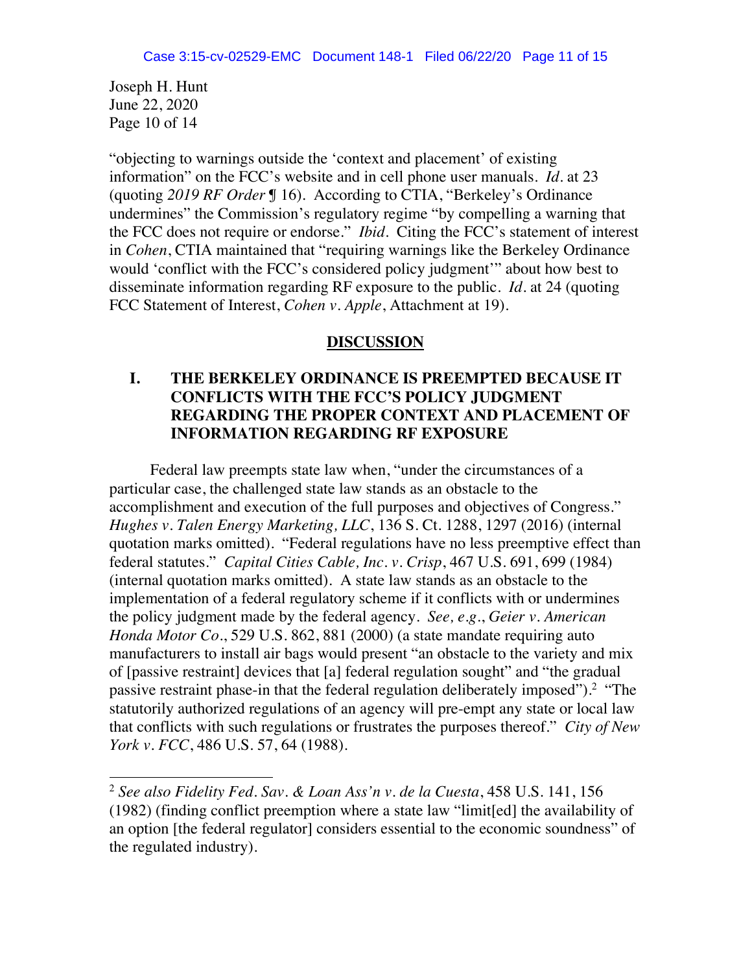Joseph H. Hunt June 22, 2020 Page 10 of 14

j

"objecting to warnings outside the 'context and placement' of existing information" on the FCC's website and in cell phone user manuals. *Id*. at 23 (quoting *2019 RF Order* ¶ 16). According to CTIA, "Berkeley's Ordinance undermines" the Commission's regulatory regime "by compelling a warning that the FCC does not require or endorse." *Ibid*. Citing the FCC's statement of interest in *Cohen*, CTIA maintained that "requiring warnings like the Berkeley Ordinance would 'conflict with the FCC's considered policy judgment'" about how best to disseminate information regarding RF exposure to the public. *Id.* at 24 (quoting FCC Statement of Interest, *Cohen v. Apple*, Attachment at 19).

### **DISCUSSION**

## **I. THE BERKELEY ORDINANCE IS PREEMPTED BECAUSE IT CONFLICTS WITH THE FCC'S POLICY JUDGMENT REGARDING THE PROPER CONTEXT AND PLACEMENT OF INFORMATION REGARDING RF EXPOSURE**

Federal law preempts state law when, "under the circumstances of a particular case, the challenged state law stands as an obstacle to the accomplishment and execution of the full purposes and objectives of Congress." *Hughes v. Talen Energy Marketing, LLC*, 136 S. Ct. 1288, 1297 (2016) (internal quotation marks omitted). "Federal regulations have no less preemptive effect than federal statutes." *Capital Cities Cable, Inc. v. Crisp*, 467 U.S. 691, 699 (1984) (internal quotation marks omitted). A state law stands as an obstacle to the implementation of a federal regulatory scheme if it conflicts with or undermines the policy judgment made by the federal agency. *See, e.g.*, *Geier v. American Honda Motor Co.*, 529 U.S. 862, 881 (2000) (a state mandate requiring auto manufacturers to install air bags would present "an obstacle to the variety and mix of [passive restraint] devices that [a] federal regulation sought" and "the gradual passive restraint phase-in that the federal regulation deliberately imposed").<sup>2</sup> "The statutorily authorized regulations of an agency will pre-empt any state or local law that conflicts with such regulations or frustrates the purposes thereof." *City of New York v. FCC*, 486 U.S. 57, 64 (1988).

<sup>2</sup> *See also Fidelity Fed. Sav. & Loan Ass'n v. de la Cuesta*, 458 U.S. 141, 156 (1982) (finding conflict preemption where a state law "limit[ed] the availability of an option [the federal regulator] considers essential to the economic soundness" of the regulated industry).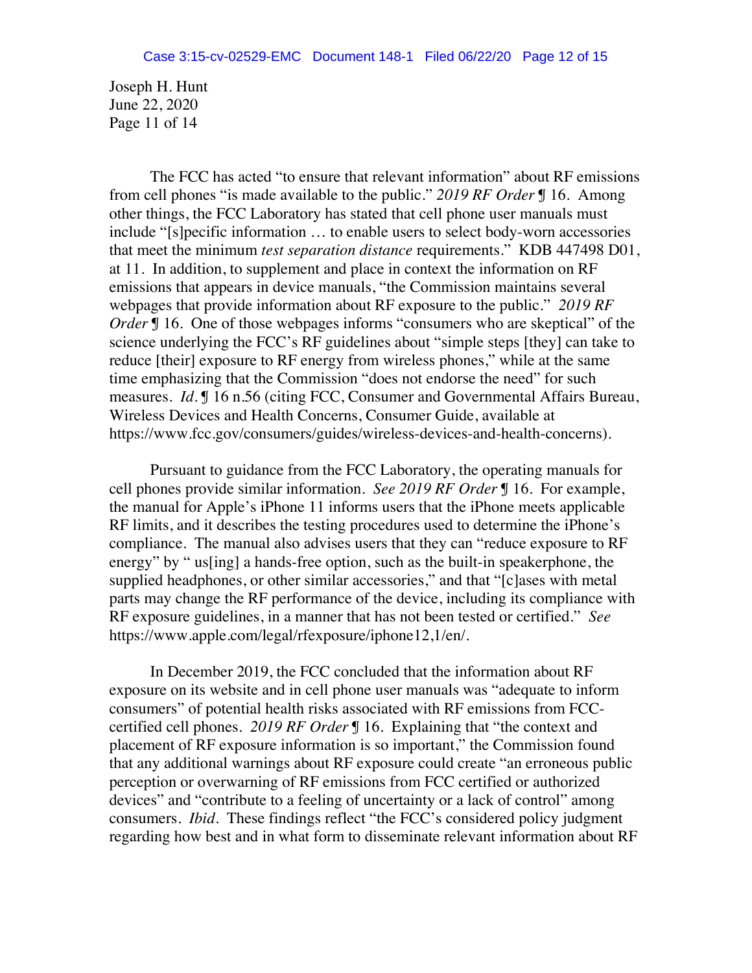Joseph H. Hunt June 22, 2020 Page 11 of 14

The FCC has acted "to ensure that relevant information" about RF emissions from cell phones "is made available to the public." *2019 RF Order* ¶ 16. Among other things, the FCC Laboratory has stated that cell phone user manuals must include "[s]pecific information … to enable users to select body-worn accessories that meet the minimum *test separation distance* requirements." KDB 447498 D01, at 11. In addition, to supplement and place in context the information on RF emissions that appears in device manuals, "the Commission maintains several webpages that provide information about RF exposure to the public." *2019 RF Order* **[**] 16. One of those webpages informs "consumers who are skeptical" of the science underlying the FCC's RF guidelines about "simple steps [they] can take to reduce [their] exposure to RF energy from wireless phones," while at the same time emphasizing that the Commission "does not endorse the need" for such measures. *Id*. ¶ 16 n.56 (citing FCC, Consumer and Governmental Affairs Bureau, Wireless Devices and Health Concerns, Consumer Guide, available at https://www.fcc.gov/consumers/guides/wireless-devices-and-health-concerns).

Pursuant to guidance from the FCC Laboratory, the operating manuals for cell phones provide similar information. *See 2019 RF Order* ¶ 16. For example, the manual for Apple's iPhone 11 informs users that the iPhone meets applicable RF limits, and it describes the testing procedures used to determine the iPhone's compliance. The manual also advises users that they can "reduce exposure to RF energy" by " us[ing] a hands-free option, such as the built-in speakerphone, the supplied headphones, or other similar accessories," and that "[c]ases with metal parts may change the RF performance of the device, including its compliance with RF exposure guidelines, in a manner that has not been tested or certified." *See*  https://www.apple.com/legal/rfexposure/iphone12,1/en/.

In December 2019, the FCC concluded that the information about RF exposure on its website and in cell phone user manuals was "adequate to inform consumers" of potential health risks associated with RF emissions from FCCcertified cell phones. *2019 RF Order* ¶ 16. Explaining that "the context and placement of RF exposure information is so important," the Commission found that any additional warnings about RF exposure could create "an erroneous public perception or overwarning of RF emissions from FCC certified or authorized devices" and "contribute to a feeling of uncertainty or a lack of control" among consumers. *Ibid*. These findings reflect "the FCC's considered policy judgment regarding how best and in what form to disseminate relevant information about RF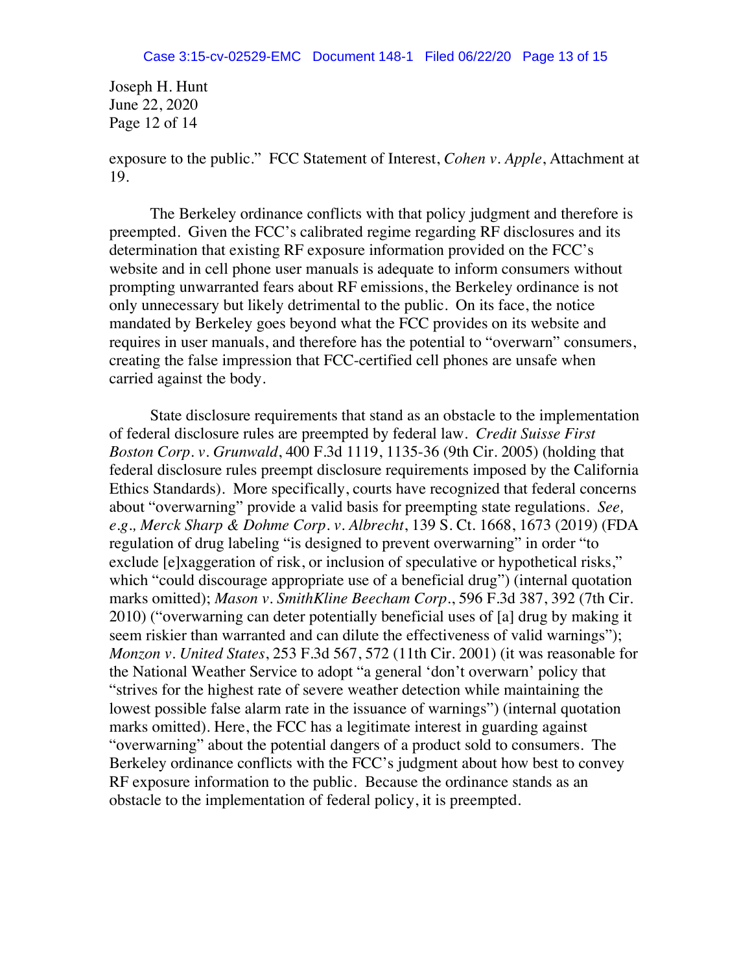Joseph H. Hunt June 22, 2020 Page 12 of 14

exposure to the public." FCC Statement of Interest, *Cohen v. Apple*, Attachment at 19.

The Berkeley ordinance conflicts with that policy judgment and therefore is preempted. Given the FCC's calibrated regime regarding RF disclosures and its determination that existing RF exposure information provided on the FCC's website and in cell phone user manuals is adequate to inform consumers without prompting unwarranted fears about RF emissions, the Berkeley ordinance is not only unnecessary but likely detrimental to the public. On its face, the notice mandated by Berkeley goes beyond what the FCC provides on its website and requires in user manuals, and therefore has the potential to "overwarn" consumers, creating the false impression that FCC-certified cell phones are unsafe when carried against the body.

State disclosure requirements that stand as an obstacle to the implementation of federal disclosure rules are preempted by federal law. *Credit Suisse First Boston Corp. v. Grunwald*, 400 F.3d 1119, 1135-36 (9th Cir. 2005) (holding that federal disclosure rules preempt disclosure requirements imposed by the California Ethics Standards). More specifically, courts have recognized that federal concerns about "overwarning" provide a valid basis for preempting state regulations. *See, e.g., Merck Sharp & Dohme Corp. v. Albrecht*, 139 S. Ct. 1668, 1673 (2019) (FDA regulation of drug labeling "is designed to prevent overwarning" in order "to exclude [e]xaggeration of risk, or inclusion of speculative or hypothetical risks," which "could discourage appropriate use of a beneficial drug") (internal quotation marks omitted); *Mason v. SmithKline Beecham Corp.*, 596 F.3d 387, 392 (7th Cir. 2010) ("overwarning can deter potentially beneficial uses of [a] drug by making it seem riskier than warranted and can dilute the effectiveness of valid warnings"); *Monzon v. United States*, 253 F.3d 567, 572 (11th Cir. 2001) (it was reasonable for the National Weather Service to adopt "a general 'don't overwarn' policy that "strives for the highest rate of severe weather detection while maintaining the lowest possible false alarm rate in the issuance of warnings") (internal quotation marks omitted). Here, the FCC has a legitimate interest in guarding against "overwarning" about the potential dangers of a product sold to consumers. The Berkeley ordinance conflicts with the FCC's judgment about how best to convey RF exposure information to the public. Because the ordinance stands as an obstacle to the implementation of federal policy, it is preempted.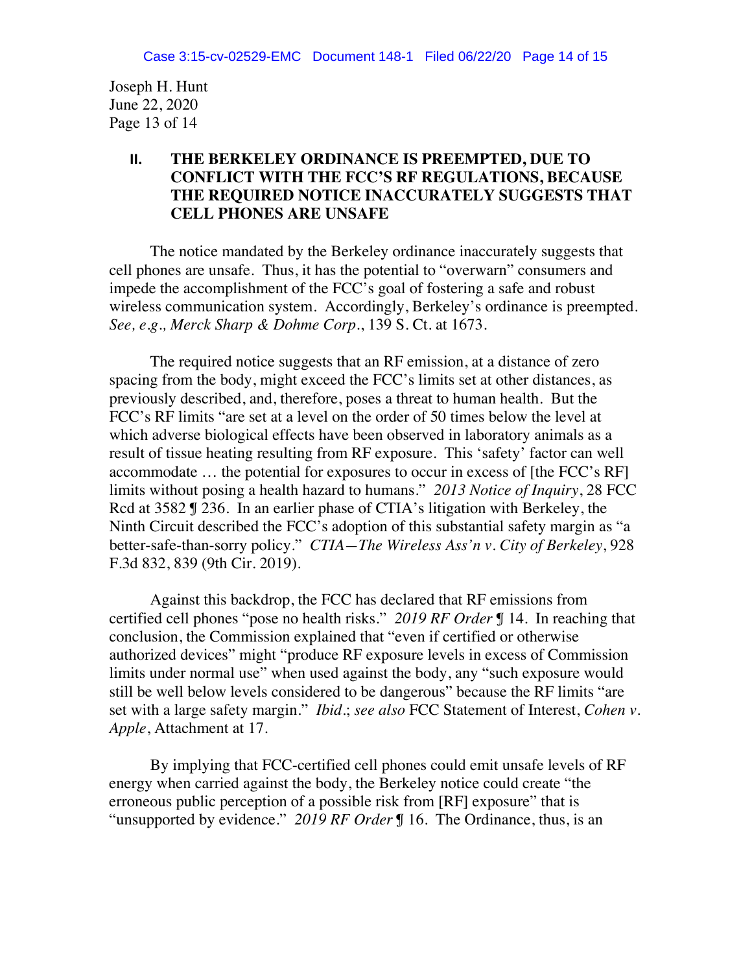Joseph H. Hunt June 22, 2020 Page 13 of 14

## **II. THE BERKELEY ORDINANCE IS PREEMPTED, DUE TO CONFLICT WITH THE FCC'S RF REGULATIONS, BECAUSE THE REQUIRED NOTICE INACCURATELY SUGGESTS THAT CELL PHONES ARE UNSAFE**

The notice mandated by the Berkeley ordinance inaccurately suggests that cell phones are unsafe. Thus, it has the potential to "overwarn" consumers and impede the accomplishment of the FCC's goal of fostering a safe and robust wireless communication system. Accordingly, Berkeley's ordinance is preempted. *See, e.g., Merck Sharp & Dohme Corp*., 139 S. Ct. at 1673.

The required notice suggests that an RF emission, at a distance of zero spacing from the body, might exceed the FCC's limits set at other distances, as previously described, and, therefore, poses a threat to human health. But the FCC's RF limits "are set at a level on the order of 50 times below the level at which adverse biological effects have been observed in laboratory animals as a result of tissue heating resulting from RF exposure. This 'safety' factor can well accommodate … the potential for exposures to occur in excess of [the FCC's RF] limits without posing a health hazard to humans." *2013 Notice of Inquiry*, 28 FCC Rcd at 3582  $\text{\textsterling}$  236. In an earlier phase of CTIA's litigation with Berkeley, the Ninth Circuit described the FCC's adoption of this substantial safety margin as "a better-safe-than-sorry policy." *CTIA—The Wireless Ass'n v. City of Berkeley*, 928 F.3d 832, 839 (9th Cir. 2019).

Against this backdrop, the FCC has declared that RF emissions from certified cell phones "pose no health risks." *2019 RF Order* ¶ 14. In reaching that conclusion, the Commission explained that "even if certified or otherwise authorized devices" might "produce RF exposure levels in excess of Commission limits under normal use" when used against the body, any "such exposure would still be well below levels considered to be dangerous" because the RF limits "are set with a large safety margin." *Ibid*.; *see also* FCC Statement of Interest, *Cohen v. Apple*, Attachment at 17.

By implying that FCC-certified cell phones could emit unsafe levels of RF energy when carried against the body, the Berkeley notice could create "the erroneous public perception of a possible risk from [RF] exposure" that is "unsupported by evidence." *2019 RF Order* ¶ 16. The Ordinance, thus, is an